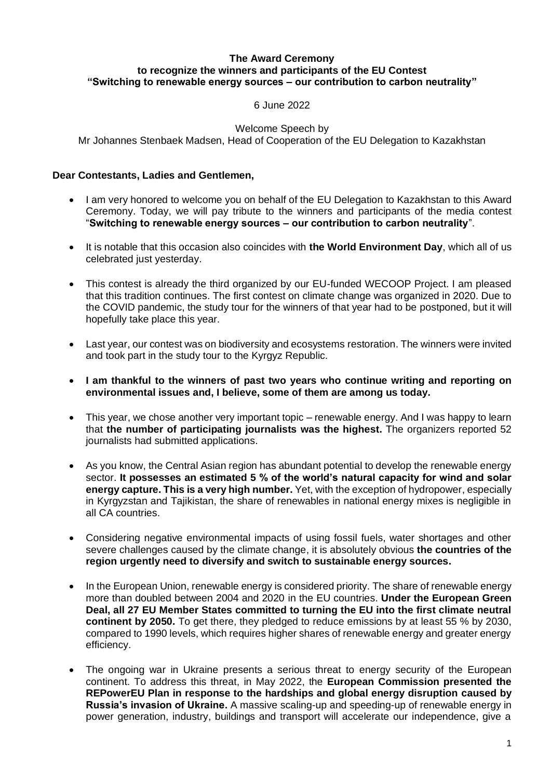## **The Award Ceremony to recognize the winners and participants of the EU Contest "Switching to renewable energy sources ‒ our contribution to carbon neutrality"**

6 June 2022

Welcome Speech by

Mr Johannes Stenbaek Madsen, Head of Cooperation of the EU Delegation to Kazakhstan

## **Dear Contestants, Ladies and Gentlemen,**

- I am very honored to welcome you on behalf of the EU Delegation to Kazakhstan to this Award Ceremony. Today, we will pay tribute to the winners and participants of the media contest "**Switching to renewable energy sources ‒ our contribution to carbon neutrality**".
- It is notable that this occasion also coincides with **the World Environment Day**, which all of us celebrated just yesterday.
- This contest is already the third organized by our EU-funded WECOOP Project. I am pleased that this tradition continues. The first contest on climate change was organized in 2020. Due to the COVID pandemic, the study tour for the winners of that year had to be postponed, but it will hopefully take place this year.
- Last year, our contest was on biodiversity and ecosystems restoration. The winners were invited and took part in the study tour to the Kyrgyz Republic.
- **I am thankful to the winners of past two years who continue writing and reporting on environmental issues and, I believe, some of them are among us today.**
- This year, we chose another very important topic renewable energy. And I was happy to learn that **the number of participating journalists was the highest.** The organizers reported 52 journalists had submitted applications.
- As you know, the Central Asian region has abundant potential to develop the renewable energy sector. **It possesses an estimated 5 % of the world's natural capacity for wind and solar energy capture. This is a very high number.** Yet, with the exception of hydropower, especially in Kyrgyzstan and Tajikistan, the share of renewables in national energy mixes is negligible in all CA countries.
- Considering negative environmental impacts of using fossil fuels, water shortages and other severe challenges caused by the climate change, it is absolutely obvious **the countries of the region urgently need to diversify and switch to sustainable energy sources.**
- In the European Union, renewable energy is considered priority. The share of renewable energy more than doubled between 2004 and 2020 in the EU countries. **Under the European Green Deal, all 27 EU Member States committed to turning the EU into the first climate neutral continent by 2050.** To get there, they pledged to reduce emissions by at least 55 % by 2030, compared to 1990 levels, which requires higher shares of renewable energy and greater energy efficiency.
- The ongoing war in Ukraine presents a serious threat to energy security of the European continent. To address this threat, in May 2022, the **European Commission presented the REPowerEU Plan in response to the hardships and global energy disruption caused by Russia's invasion of Ukraine.** A massive scaling-up and speeding-up of renewable energy in power generation, industry, buildings and transport will accelerate our independence, give a